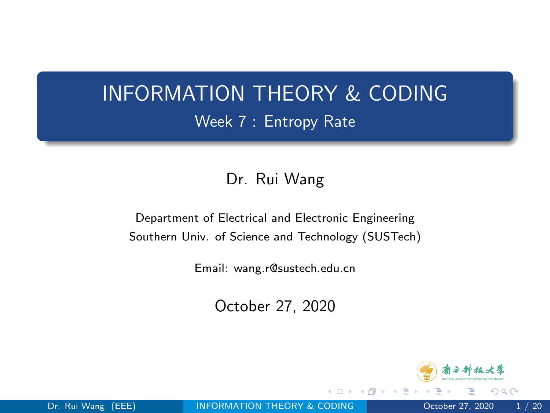### <span id="page-0-0"></span>INFORMATION THEORY & CODING Week 7 : Entropy Rate

#### Dr. Rui Wang

Department of Electrical and Electronic Engineering Southern Univ. of Science and Technology (SUSTech)

Email: wang.r@sustech.edu.cn

October 27, 2020



つへへ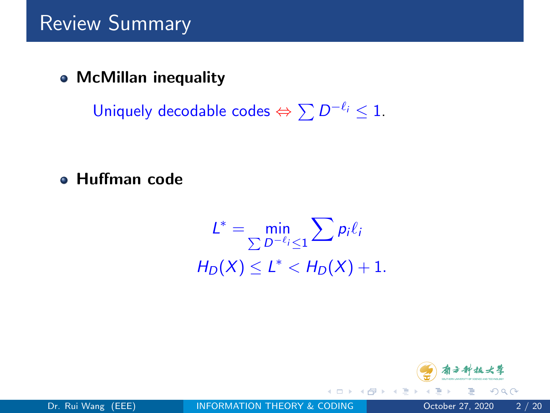McMillan inequality

Uniquely decodable codes  $\Leftrightarrow \sum D^{-\ell_i} \leq 1$ .

Huffman code

$$
L^* = \min_{\sum D^{-\ell_i} \le 1} \sum p_i \ell_i
$$
  

$$
H_D(X) \le L^* < H_D(X) + 1.
$$



4 **EL F** 

 $QQ$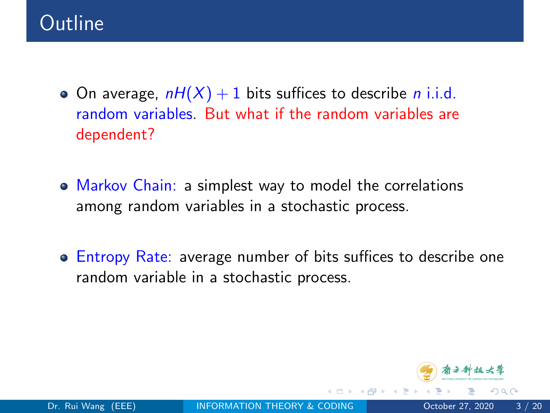- On average,  $nH(X) + 1$  bits suffices to describe *n* i.i.d. random variables. But what if the random variables are dependent?
- Markov Chain: a simplest way to model the correlations among random variables in a stochastic process.
- **Entropy Rate:** average number of bits suffices to describe one random variable in a stochastic process.

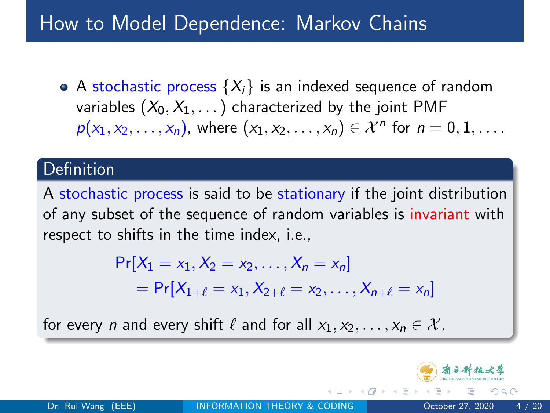### How to Model Dependence: Markov Chains

• A stochastic process  $\{X_i\}$  is an indexed sequence of random variables  $(X_0, X_1, \ldots)$  characterized by the joint PMF  $p(x_1, x_2, \ldots, x_n)$ , where  $(x_1, x_2, \ldots, x_n) \in \mathcal{X}^n$  for  $n = 0, 1, \ldots$ .

#### Definition

A stochastic process is said to be stationary if the joint distribution of any subset of the sequence of random variables is invariant with respect to shifts in the time index, i.e.,

$$
Pr[X_1 = x_1, X_2 = x_2, ..., X_n = x_n]
$$
  
= 
$$
Pr[X_{1+\ell} = x_1, X_{2+\ell} = x_2, ..., X_{n+\ell} = x_n]
$$

for every *n* and every shift  $\ell$  and for all  $x_1, x_2, \ldots, x_n \in \mathcal{X}$ .

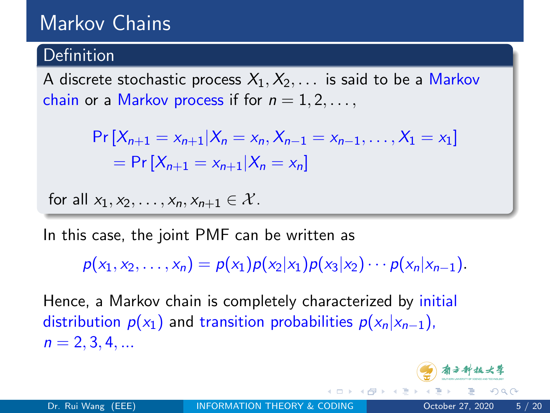### Markov Chains

#### **Definition**

A discrete stochastic process  $X_1, X_2, \ldots$  is said to be a Markov chain or a Markov process if for  $n = 1, 2, \ldots$ ,

$$
\Pr[X_{n+1} = x_{n+1} | X_n = x_n, X_{n-1} = x_{n-1}, \dots, X_1 = x_1]
$$
  
= 
$$
\Pr[X_{n+1} = x_{n+1} | X_n = x_n]
$$

for all  $x_1, x_2, \ldots, x_n, x_{n+1} \in \mathcal{X}$ .

In this case, the joint PMF can be written as

 $p(x_1, x_2, \ldots, x_n) = p(x_1)p(x_2|x_1)p(x_3|x_2)\cdots p(x_n|x_{n-1}).$ 

Hence, a Markov chain is completely characterized by initial distribution  $p(x_1)$  and transition probabilities  $p(x_n|x_{n-1})$ ,  $n = 2, 3, 4, ...$ 

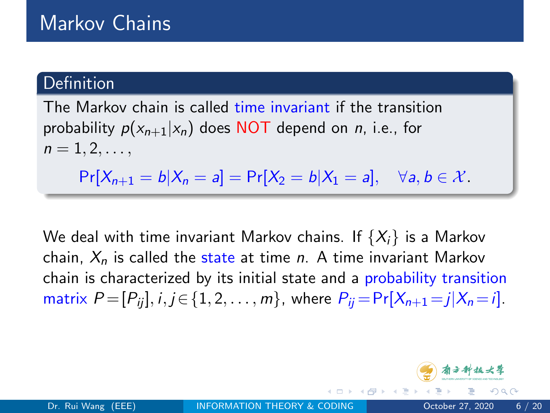# Markov Chains

#### Definition

The Markov chain is called time invariant if the transition probability  $p(x_{n+1}|x_n)$  does NOT depend on *n*, i.e., for  $n = 1, 2, \ldots,$  $Pr[X_{n+1} = b | X_n = a] = Pr[X_2 = b | X_1 = a], \quad \forall a, b \in \mathcal{X}.$ 

We deal with time invariant Markov chains. If  $\{X_i\}$  is a Markov chain,  $X_n$  is called the state at time n. A time invariant Markov chain is characterized by its initial state and a probability transition matrix  $P = [P_{ii}], i, j \in \{1, 2, ..., m\}$ , where  $P_{ii} = \Pr[X_{n+1} = j | X_n = i]$ .

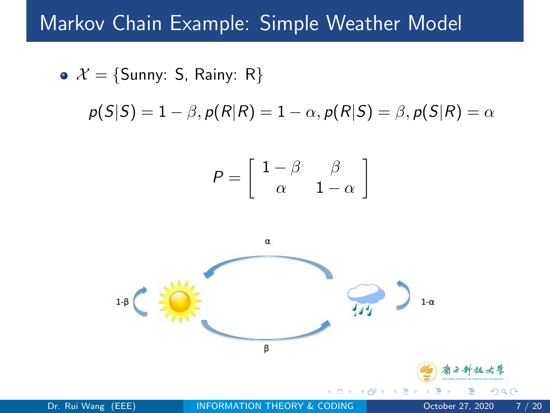#### Markov Chain Example: Simple Weather Model

$$
\rho(S|S) = 1 - \beta, \rho(R|R) = 1 - \alpha, \rho(R|S) = \beta, \rho(S|R) = \alpha
$$
\n
$$
P = \begin{bmatrix} 1 - \beta & \beta \\ \alpha & 1 - \alpha \end{bmatrix}
$$
\n
$$
\alpha
$$
\n
$$
1 - \beta
$$
\n
$$
\beta
$$
\n
$$
\beta
$$
\n
$$
\beta
$$
\n
$$
\beta
$$
\n
$$
\beta
$$
\n
$$
\beta
$$
\n
$$
\beta
$$
\n
$$
\beta
$$
\n
$$
\beta
$$
\n
$$
\beta
$$
\n
$$
\beta
$$
\n
$$
\beta
$$
\n
$$
\beta
$$
\n
$$
\beta
$$
\n
$$
\beta
$$
\n
$$
\beta
$$
\n
$$
\beta
$$
\n
$$
\beta
$$
\n
$$
\beta
$$
\n
$$
\beta
$$
\n
$$
\beta
$$
\n
$$
\beta
$$
\n
$$
\beta
$$
\n
$$
\beta
$$
\n
$$
\beta
$$
\n
$$
\beta
$$
\n
$$
\beta
$$
\n
$$
\beta
$$
\n
$$
\beta
$$
\n
$$
\beta
$$
\n
$$
\beta
$$
\n
$$
\beta
$$
\n
$$
\beta
$$
\n
$$
\beta
$$
\n
$$
\beta
$$
\n
$$
\beta
$$
\n
$$
\beta
$$
\n
$$
\beta
$$
\n
$$
\beta
$$
\n
$$
\beta
$$
\n
$$
\beta
$$
\n
$$
\beta
$$
\n
$$
\beta
$$
\n
$$
\beta
$$
\n
$$
\beta
$$
\n
$$
\beta
$$
\n
$$
\beta
$$
\n
$$
\beta
$$
\n
$$
\beta
$$
\n
$$
\beta
$$
\n
$$
\beta
$$
\n
$$
\beta
$$
\n
$$
\beta
$$
\n
$$
\beta
$$
\n
$$
\beta
$$
\n
$$
\beta
$$
\n
$$
\beta
$$
\n
$$
\beta
$$
\n
$$
\beta
$$
\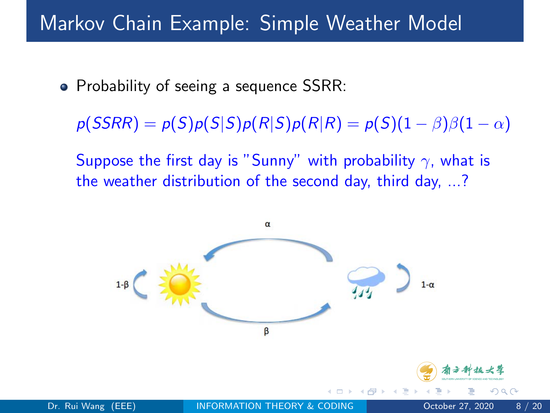# Markov Chain Example: Simple Weather Model

• Probability of seeing a sequence SSRR:

 $p(SSRR) = p(S)p(S|S)p(R|S)p(R|R) = p(S)(1 - \beta)\beta(1 - \alpha)$ 

Suppose the first day is "Sunny" with probability  $\gamma$ , what is the weather distribution of the second day, third day, ...?

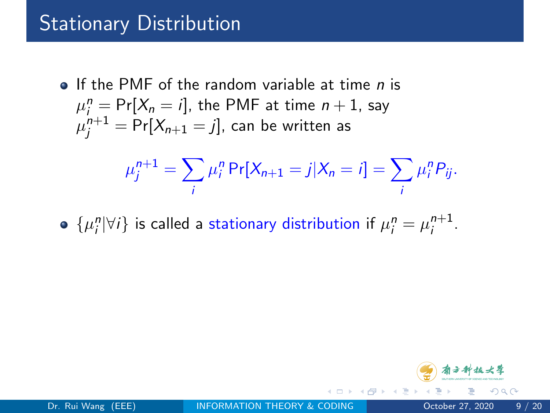# Stationary Distribution

 $\bullet$  If the PMF of the random variable at time *n* is  $\mu_{i}^{n} = \Pr[X_{n} = i]$ , the PMF at time  $n + 1$ , say  $\mu^{n+1}_j = \mathsf{Pr}[X_{n+1} = j]$ , can be written as

$$
\mu_j^{n+1} = \sum_i \mu_i^n \Pr[X_{n+1} = j | X_n = i] = \sum_i \mu_i^n P_{ij}.
$$

 $\{\mu_i^n | \forall i\}$  is called a stationary distribution if  $\mu_i^n = \mu_i^{n+1}$ n+1<br>i



つへへ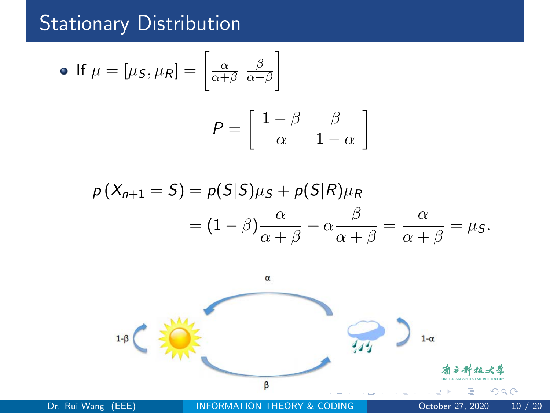## Stationary Distribution

• If 
$$
\mu = [\mu_S, \mu_R] = \begin{bmatrix} \frac{\alpha}{\alpha + \beta} & \frac{\beta}{\alpha + \beta} \end{bmatrix}
$$
  

$$
P = \begin{bmatrix} 1 - \beta & \beta \\ \alpha & 1 - \alpha \end{bmatrix}
$$

$$
\rho(X_{n+1} = S) = \rho(S|S)\mu_S + \rho(S|R)\mu_R
$$
  
=  $(1 - \beta)\frac{\alpha}{\alpha + \beta} + \alpha\frac{\beta}{\alpha + \beta} = \frac{\alpha}{\alpha + \beta} = \mu_S.$ 

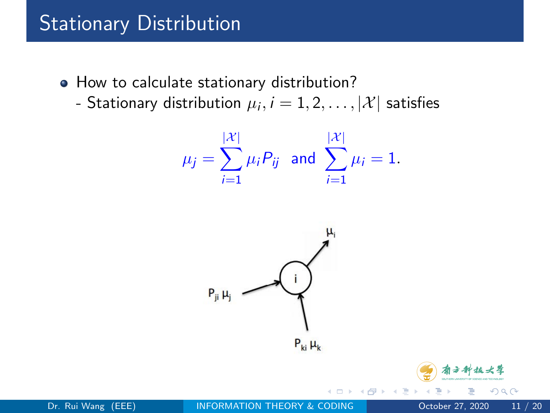# Stationary Distribution

- How to calculate stationary distribution?
	- Stationary distribution  $\mu_i, i=1,2,\ldots,|\mathcal{X}|$  satisfies

$$
\mu_j = \sum_{i=1}^{|\mathcal{X}|} \mu_i P_{ij}
$$
 and  $\sum_{i=1}^{|\mathcal{X}|} \mu_i = 1$ .



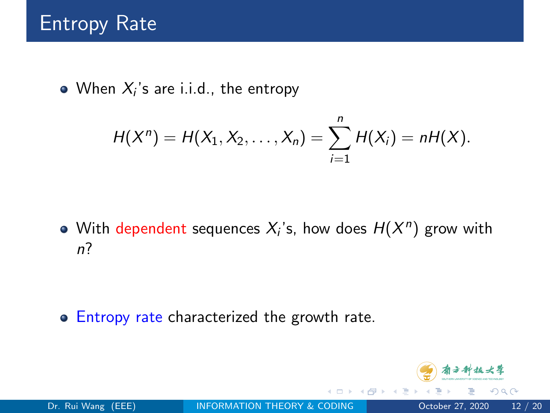When  $X_i$ 's are i.i.d., the entropy

$$
H(X^n) = H(X_1, X_2, \ldots, X_n) = \sum_{i=1}^n H(X_i) = nH(X).
$$

With dependent sequences  $X_i$ 's, how does  $H(X^n)$  grow with n?

**• Entropy rate characterized the growth rate.** 

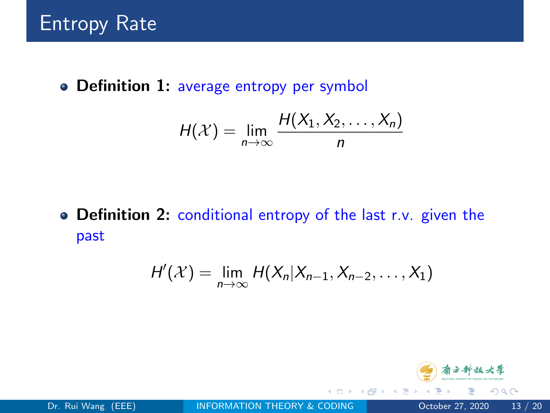• Definition 1: average entropy per symbol

$$
H(\mathcal{X}) = \lim_{n \to \infty} \frac{H(X_1, X_2, \ldots, X_n)}{n}
$$

• Definition 2: conditional entropy of the last r.v. given the past

$$
H'(\mathcal{X})=\lim_{n\to\infty}H(X_n|X_{n-1},X_{n-2},\ldots,X_1)
$$

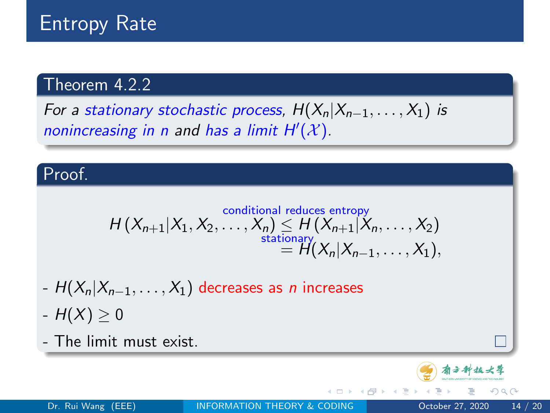# Entropy Rate

#### Theorem 4.2.2

For a stationary stochastic process,  $H(X_n|X_{n-1},...,X_1)$  is nonincreasing in n and has a limit  $H'(\mathcal{X})$ .

#### Proof.

$$
H(X_{n+1}|X_1, X_2, \ldots, X_n) \leq H(X_{n+1}|X_n, \ldots, X_2)
$$
  
stationary  

$$
= H(X_n|X_{n-1}, \ldots, X_1),
$$

- $-H(X_n|X_{n-1}, \ldots, X_1)$  decreases as *n* increases
- $-H(X) > 0$

- The limit must exist.

4 **EL F**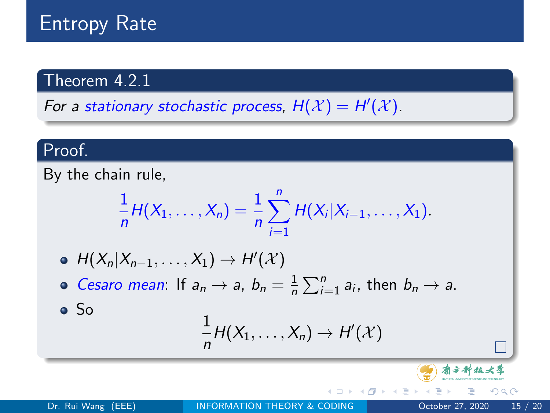# Entropy Rate

#### Theorem 4.2.1

For a stationary stochastic process,  $H(\mathcal{X}) = H'(\mathcal{X})$ .

#### Proof.

By the chain rule,

$$
\frac{1}{n}H(X_1,\ldots,X_n)=\frac{1}{n}\sum_{i=1}^n H(X_i|X_{i-1},\ldots,X_1).
$$

$$
\bullet \ \ H(X_n|X_{n-1},\ldots,X_1)\to H'(\mathcal{X})
$$

Cesaro mean: If  $a_n \to a$ ,  $b_n = \frac{1}{n}$  $\frac{1}{n}\sum_{i=1}^n a_i$ , then  $b_n \to a$ .

So

$$
\frac{1}{n}H(X_1,\ldots,X_n)\to H'(\mathcal{X})
$$

看方种技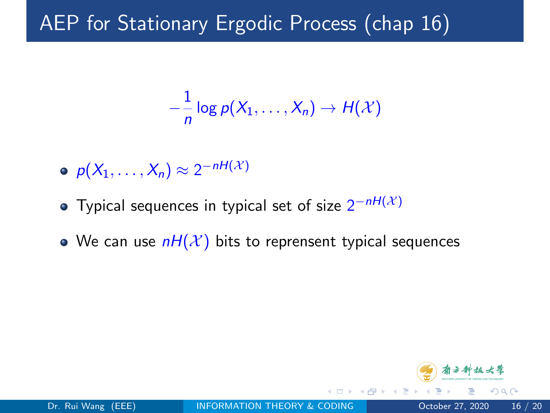# AEP for Stationary Ergodic Process (chap 16)

$$
-\frac{1}{n}\log p(X_1,\ldots,X_n)\to H(\mathcal{X})
$$

- $p(X_1,\ldots,X_n) \approx 2^{-nH(X)}$
- Typical sequences in typical set of size  $2^{-nH(\mathcal{X})}$
- We can use  $nH(\mathcal{X})$  bits to reprensent typical sequences

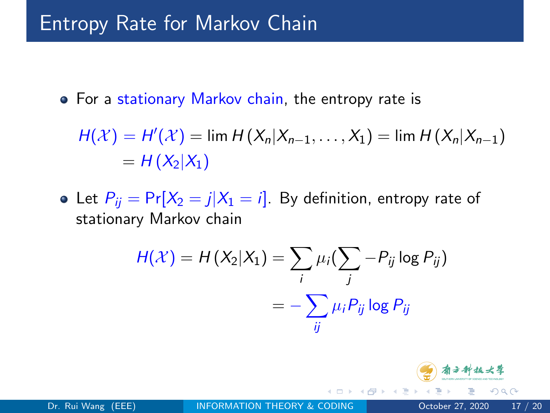### Entropy Rate for Markov Chain

• For a stationary Markov chain, the entropy rate is

$$
H(\mathcal{X}) = H'(\mathcal{X}) = \lim H(X_n | X_{n-1}, \dots, X_1) = \lim H(X_n | X_{n-1})
$$
  
= H(X<sub>2</sub>|X<sub>1</sub>)

• Let  $P_{ii} = Pr[X_2 = j | X_1 = i]$ . By definition, entropy rate of stationary Markov chain

$$
H(\mathcal{X}) = H(X_2|X_1) = \sum_i \mu_i (\sum_j -P_{ij} \log P_{ij})
$$
  
= 
$$
-\sum_{ij} \mu_i P_{ij} \log P_{ij}
$$



つへへ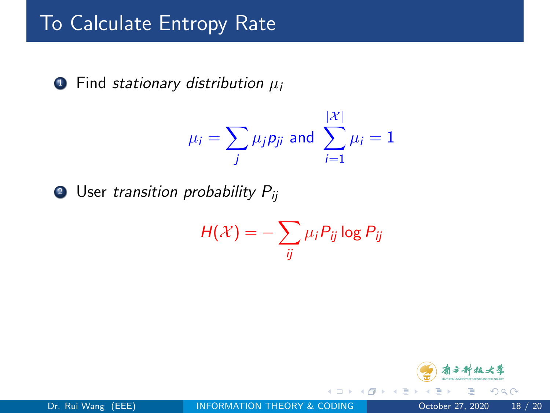# **To Calculate Entropy Rate**

 $\bullet$  Find stationary distribution  $\mu_i$ 

$$
\mu_i = \sum_j \mu_j p_{ji} \text{ and } \sum_{i=1}^{|\mathcal{X}|} \mu_i = 1
$$

**2** User transition probability  $P_{ii}$ 

$$
H(\mathcal{X}) = -\sum_{ij} \mu_i P_{ij} \log P_{ij}
$$

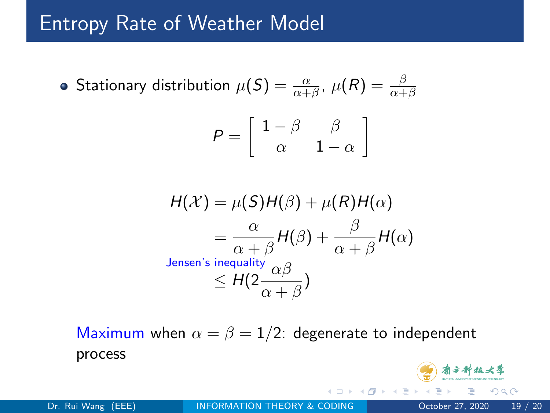#### Entropy Rate of Weather Model

• Stationary distribution 
$$
\mu(S) = \frac{\alpha}{\alpha + \beta}
$$
,  $\mu(R) = \frac{\beta}{\alpha + \beta}$ 

$$
P = \left[ \begin{array}{cc} 1 - \beta & \beta \\ \alpha & 1 - \alpha \end{array} \right]
$$

$$
H(\mathcal{X}) = \mu(S)H(\beta) + \mu(R)H(\alpha)
$$
  
=  $\frac{\alpha}{\alpha + \beta}H(\beta) + \frac{\beta}{\alpha + \beta}H(\alpha)$   
Jensen's inequality  $\alpha\beta$   
 $\leq H(2\frac{\alpha\beta}{\alpha + \beta})$ 

Maximum when  $\alpha = \beta = 1/2$ : degenerate to independent process 看方种技大学

Dr. Rui Wang (EEE) **[INFORMATION THEORY & CODING](#page-0-0) October 27, 2020** 19 / 20

 $QQ$